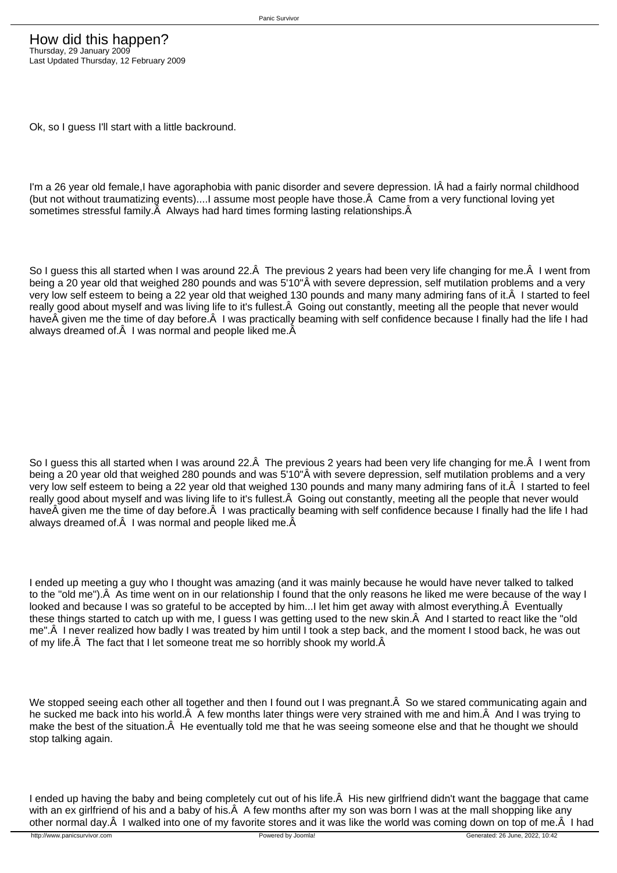Ok, so I guess I'll start with a little backround.

I'm a 26 year old female,I have agoraphobia with panic disorder and severe depression. IÂ had a fairly normal childhood (but not without traumatizing events)....I assume most people have those. $\hat{A}$  Came from a very functional loving yet sometimes stressful family. $\hat{A}$  Always had hard times forming lasting relationships. $\hat{A}$ 

So I guess this all started when I was around 22. Â The previous 2 years had been very life changing for me. Â I went from being a 20 year old that weighed 280 pounds and was 5'10"Â with severe depression, self mutilation problems and a very very low self esteem to being a 22 year old that weighed 130 pounds and many many admiring fans of it. A I started to feel really good about myself and was living life to it's fullest. Â Going out constantly, meeting all the people that never would have A given me the time of day before. A I was practically beaming with self confidence because I finally had the life I had always dreamed of  $\hat{A}$  I was normal and people liked me.  $\hat{A}$ 

So I guess this all started when I was around 22. Å The previous 2 years had been very life changing for me. Å I went from being a 20 year old that weighed 280 pounds and was 5'10"Â with severe depression, self mutilation problems and a very very low self esteem to being a 22 year old that weighed 130 pounds and many many admiring fans of it. Â I started to feel really good about myself and was living life to it's fullest. A Going out constantly, meeting all the people that never would have given me the time of day before. Â I was practically beaming with self confidence because I finally had the life I had always dreamed of. $\hat{A}$  I was normal and people liked me. $\hat{A}$ 

I ended up meeting a guy who I thought was amazing (and it was mainly because he would have never talked to talked to the "old me"). Â As time went on in our relationship I found that the only reasons he liked me were because of the way I looked and because I was so grateful to be accepted by him...I let him get away with almost everything. Â Eventually these things started to catch up with me, I guess I was getting used to the new skin. A And I started to react like the "old me". A I never realized how badly I was treated by him until I took a step back, and the moment I stood back, he was out of my life. $\hat{A}$  The fact that I let someone treat me so horribly shook my world. $\hat{A}$ 

We stopped seeing each other all together and then I found out I was pregnant. Â So we stared communicating again and he sucked me back into his world. A few months later things were very strained with me and him. A And I was trying to make the best of the situation. A He eventually told me that he was seeing someone else and that he thought we should stop talking again.

I ended up having the baby and being completely cut out of his life. A His new girlfriend didn't want the baggage that came with an ex girlfriend of his and a baby of his. A few months after my son was born I was at the mall shopping like any other normal day. Â I walked into one of my favorite stores and it was like the world was coming down on top of me. Â I had